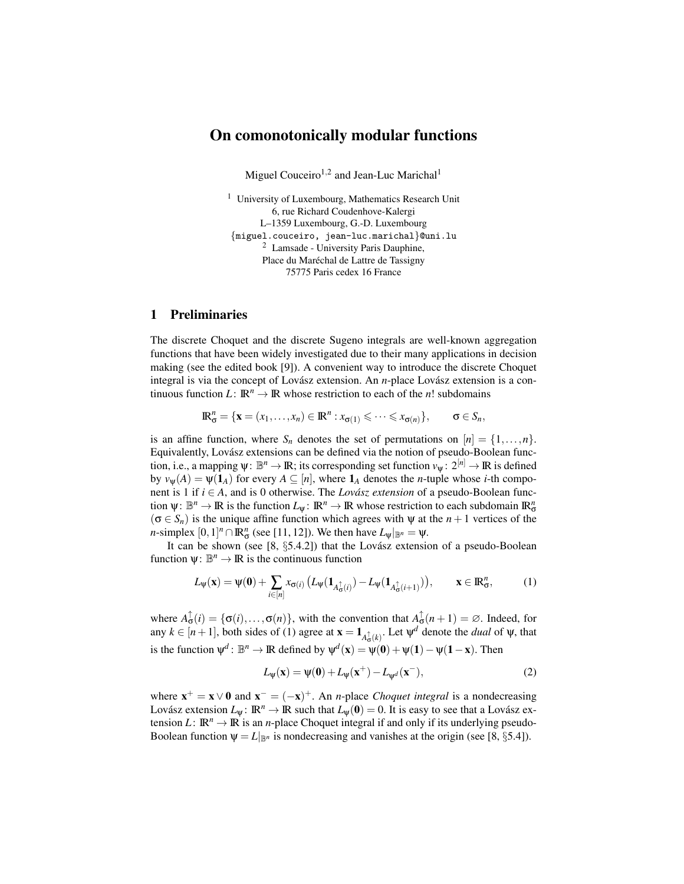# On comonotonically modular functions

Miguel Couceiro<sup>1,2</sup> and Jean-Luc Marichal<sup>1</sup>

<sup>1</sup> University of Luxembourg, Mathematics Research Unit 6, rue Richard Coudenhove-Kalergi L–1359 Luxembourg, G.-D. Luxembourg *{*miguel.couceiro, jean-luc.marichal*}*@uni.lu <sup>2</sup> Lamsade - University Paris Dauphine, Place du Maréchal de Lattre de Tassigny 75775 Paris cedex 16 France

### 1 Preliminaries

The discrete Choquet and the discrete Sugeno integrals are well-known aggregation functions that have been widely investigated due to their many applications in decision making (see the edited book [9]). A convenient way to introduce the discrete Choquet integral is via the concept of Lovász extension. An *n*-place Lovász extension is a continuous function *L*:  $\mathbb{R}^n \to \mathbb{R}$  whose restriction to each of the *n*! subdomains

$$
\mathbb{R}^n_{\sigma} = \{ \mathbf{x} = (x_1, \dots, x_n) \in \mathbb{R}^n : x_{\sigma(1)} \leqslant \dots \leqslant x_{\sigma(n)} \}, \qquad \sigma \in S_n,
$$

is an affine function, where  $S_n$  denotes the set of permutations on  $[n] = \{1, \ldots, n\}$ . Equivalently, Lovász extensions can be defined via the notion of pseudo-Boolean function, i.e., a mapping  $\psi: \mathbb{B}^n \to \mathbb{R}$ ; its corresponding set function  $v_{\psi}: 2^{[n]} \to \mathbb{R}$  is defined by  $v_w(A) = \psi(1_A)$  for every  $A \subseteq [n]$ , where  $1_A$  denotes the *n*-tuple whose *i*-th component is 1 if  $i \in A$ , and is 0 otherwise. The *Lovász extension* of a pseudo-Boolean function  $\psi: \mathbb{B}^n \to \mathbb{R}$  is the function  $L_{\psi}: \mathbb{R}^n \to \mathbb{R}$  whose restriction to each subdomain  $\mathbb{R}^n_{\sigma}$  $(\sigma \in S_n)$  is the unique affine function which agrees with  $\psi$  at the *n* + 1 vertices of the *n*-simplex  $[0,1]^n \cap \mathbb{R}^n_{\sigma}$  (see [11, 12]). We then have  $L_{\psi}|_{\mathbb{B}^n} = \psi$ .

It can be shown (see [8, §5.4.2]) that the Lovász extension of a pseudo-Boolean function  $\psi: \mathbb{B}^n \to \mathbb{R}$  is the continuous function

$$
L_{\psi}(\mathbf{x}) = \psi(\mathbf{0}) + \sum_{i \in [n]} x_{\sigma(i)} \left( L_{\psi}(\mathbf{1}_{A_{\sigma(i)}^{\uparrow}}) - L_{\psi}(\mathbf{1}_{A_{\sigma(i+1)}^{\uparrow}}) \right), \qquad \mathbf{x} \in \mathbb{R}_{\sigma}^n,
$$
 (1)

where  $A_{\sigma}^{\uparrow}(i) = {\{\sigma(i), \ldots, \sigma(n)\}}$ , with the convention that  $A_{\sigma}^{\uparrow}(n+1) = \emptyset$ . Indeed, for any  $k \in [n+1]$ , both sides of (1) agree at  $\mathbf{x} = \mathbf{1}_{A_{\mathbf{G}}^{\uparrow}(k)}$ . Let  $\psi^d$  denote the *dual* of  $\psi$ , that is the function  $\psi^d$ :  $\mathbb{B}^n \to \mathbb{R}$  defined by  $\psi^d(x) = \psi(0) + \psi(1) - \psi(1-x)$ . Then

$$
L_{\psi}(\mathbf{x}) = \psi(\mathbf{0}) + L_{\psi}(\mathbf{x}^{+}) - L_{\psi^{d}}(\mathbf{x}^{-}),
$$
\n(2)

where  $\mathbf{x}^+ = \mathbf{x} \vee \mathbf{0}$  and  $\mathbf{x}^- = (-\mathbf{x})^+$ . An *n*-place *Choquet integral* is a nondecreasing Lovász extension  $L_\Psi: \mathbb{R}^n \to \mathbb{R}$  such that  $L_\Psi(0) = 0$ . It is easy to see that a Lovász extension *L*:  $\mathbb{R}^n \to \mathbb{R}$  is an *n*-place Choquet integral if and only if its underlying pseudo-Boolean function  $\psi = L|_{\mathbb{B}^n}$  is nondecreasing and vanishes at the origin (see [8, §5.4]).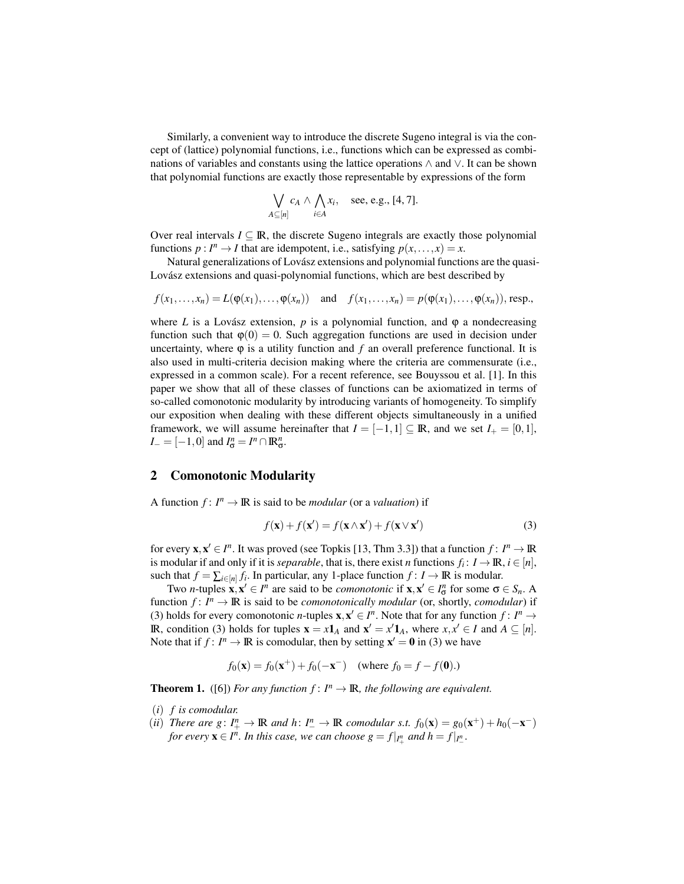Similarly, a convenient way to introduce the discrete Sugeno integral is via the concept of (lattice) polynomial functions, i.e., functions which can be expressed as combinations of variables and constants using the lattice operations *∧* and *∨*. It can be shown that polynomial functions are exactly those representable by expressions of the form

$$
\bigvee_{A \subseteq [n]} c_A \wedge \bigwedge_{i \in A} x_i, \quad \text{see, e.g., [4, 7].}
$$

Over real intervals  $I \subseteq \mathbb{R}$ , the discrete Sugeno integrals are exactly those polynomial functions  $p: I^n \to I$  that are idempotent, i.e., satisfying  $p(x, \ldots, x) = x$ .

Natural generalizations of Lovász extensions and polynomial functions are the quasi-Lovász extensions and quasi-polynomial functions, which are best described by

$$
f(x_1,\ldots,x_n)=L(\varphi(x_1),\ldots,\varphi(x_n)) \text{ and } f(x_1,\ldots,x_n)=p(\varphi(x_1),\ldots,\varphi(x_n)), \text{resp.,}
$$

where *L* is a Lovász extension,  $p$  is a polynomial function, and  $\varphi$  a nondecreasing function such that  $\varphi(0) = 0$ . Such aggregation functions are used in decision under uncertainty, where  $\varphi$  is a utility function and  $f$  an overall preference functional. It is also used in multi-criteria decision making where the criteria are commensurate (i.e., expressed in a common scale). For a recent reference, see Bouyssou et al. [1]. In this paper we show that all of these classes of functions can be axiomatized in terms of so-called comonotonic modularity by introducing variants of homogeneity. To simplify our exposition when dealing with these different objects simultaneously in a unified framework, we will assume hereinafter that  $I = [-1, 1] \subseteq \mathbb{R}$ , and we set  $I_{+} = [0, 1]$ ,  $I_{-} = [-1, 0]$  and  $I_{\sigma}^{n} = I^{n} \cap \mathbb{R}_{\sigma}^{n}$ .

### 2 Comonotonic Modularity

A function  $f: I^n \to \mathbb{R}$  is said to be *modular* (or a *valuation*) if

$$
f(\mathbf{x}) + f(\mathbf{x}') = f(\mathbf{x} \wedge \mathbf{x}') + f(\mathbf{x} \vee \mathbf{x}') \tag{3}
$$

for every  $\mathbf{x}, \mathbf{x}' \in I^n$ . It was proved (see Topkis [13, Thm 3.3]) that a function  $f: I^n \to \mathbb{R}$ is modular if and only if it is *separable*, that is, there exist *n* functions  $f_i \colon I \to \mathbb{R}, i \in [n]$ , such that  $f = \sum_{i \in [n]} f_i$ . In particular, any 1-place function  $f : I \to \mathbb{R}$  is modular.

Two *n*-tuples  $\mathbf{x}, \mathbf{x}' \in I^n$  are said to be *comonotonic* if  $\mathbf{x}, \mathbf{x}' \in I^n_\sigma$  for some  $\sigma \in S_n$ . A function  $f: I^n \to \mathbb{R}$  is said to be *comonotonically modular* (or, shortly, *comodular*) if (3) holds for every comonotonic *n*-tuples  $\mathbf{x}, \mathbf{x}' \in I^n$ . Note that for any function  $f: I^n \to I^n$ **IR**, condition (3) holds for tuples  $\mathbf{x} = x\mathbf{1}_A$  and  $\mathbf{x}' = x'\mathbf{1}_A$ , where  $x, x' \in I$  and  $A \subseteq [n]$ . Note that if  $f: I^n \to \mathbb{R}$  is comodular, then by setting  $\mathbf{x}' = \mathbf{0}$  in (3) we have

$$
f_0(\mathbf{x}) = f_0(\mathbf{x}^+) + f_0(-\mathbf{x}^-)
$$
 (where  $f_0 = f - f(\mathbf{0})$ .)

**Theorem 1.** ([6]) *For any function*  $f: I^n \to \mathbb{R}$ *, the following are equivalent.* 

- (*i*) *f is comodular.*
- (*ii*) *There are*  $g: I_+^n \to \mathbb{R}$  *and*  $h: I_-^n \to \mathbb{R}$  *comodular s.t.*  $f_0(\mathbf{x}) = g_0(\mathbf{x}^+) + h_0(-\mathbf{x}^-)$ *for every*  $\mathbf{x} \in I^n$ *. In this case, we can choose*  $g = f|_{I^n_+}$  *and*  $h = f|_{I^n_-}$ *.*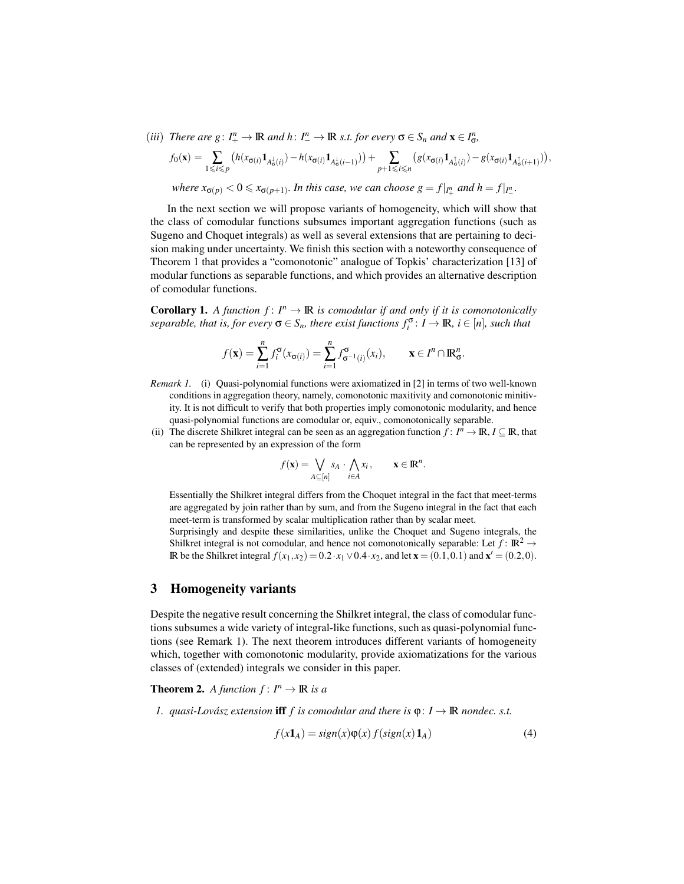(iii) There are  $g: I^n_+ \to \mathbb{R}$  and  $h: I^n_- \to \mathbb{R}$  s.t. for every  $\sigma \in S_n$  and  $\mathbf{x} \in I^n_{\sigma}$ ,

$$
f_0(\mathbf{x}) = \sum_{1 \leq i \leq p} \left( h(x_{\sigma(i)} \mathbf{1}_{A^{\downarrow}_{\sigma}(i)}) - h(x_{\sigma(i)} \mathbf{1}_{A^{\downarrow}_{\sigma}(i-1)}) \right) + \sum_{p+1 \leq i \leq n} \left( g(x_{\sigma(i)} \mathbf{1}_{A^{\uparrow}_{\sigma}(i)}) - g(x_{\sigma(i)} \mathbf{1}_{A^{\uparrow}_{\sigma}(i+1)}) \right),
$$
  
where  $x_{\sigma(p)} < 0 \leq x_{\sigma(p+1)}$ . In this case, we can choose  $g = f|_{I^u_+}$  and  $h = f|_{I^u_-}$ .

In the next section we will propose variants of homogeneity, which will show that the class of comodular functions subsumes important aggregation functions (such as Sugeno and Choquet integrals) as well as several extensions that are pertaining to decision making under uncertainty. We finish this section with a noteworthy consequence of Theorem 1 that provides a "comonotonic" analogue of Topkis' characterization [13] of modular functions as separable functions, and which provides an alternative description of comodular functions.

**Corollary 1.** A function  $f: I^n \to \mathbb{R}$  is comodular if and only if it is comonotonically  $s$ *eparable, that is, for every*  $\sigma \in S_n$ *, there exist functions*  $f_i^{\sigma}$ :  $I \to \mathbb{R}$ *, i*  $\in [n]$ *, such that* 

$$
f(\mathbf{x}) = \sum_{i=1}^n f_i^{\sigma}(x_{\sigma(i)}) = \sum_{i=1}^n f_{\sigma^{-1}(i)}^{\sigma}(x_i), \qquad \mathbf{x} \in I^n \cap \mathbb{R}_\sigma^n.
$$

- *Remark 1.* (i) Quasi-polynomial functions were axiomatized in [2] in terms of two well-known conditions in aggregation theory, namely, comonotonic maxitivity and comonotonic minitivity. It is not difficult to verify that both properties imply comonotonic modularity, and hence quasi-polynomial functions are comodular or, equiv., comonotonically separable.
- (ii) The discrete Shilkret integral can be seen as an aggregation function  $f: I^n \to \mathbb{R}, I \subseteq \mathbb{R}$ , that can be represented by an expression of the form

$$
f(\mathbf{x}) = \bigvee_{A \subseteq [n]} s_A \cdot \bigwedge_{i \in A} x_i, \qquad \mathbf{x} \in \mathbb{R}^n.
$$

Essentially the Shilkret integral differs from the Choquet integral in the fact that meet-terms are aggregated by join rather than by sum, and from the Sugeno integral in the fact that each meet-term is transformed by scalar multiplication rather than by scalar meet.

Surprisingly and despite these similarities, unlike the Choquet and Sugeno integrals, the Shilkret integral is not comodular, and hence not comonotonically separable: Let  $f : \mathbb{R}^2 \to$ **IR** be the Shilkret integral *f*(*x*<sub>1</sub>*,x*<sub>2</sub>) = 0*.*2*⋅x*<sub>1</sub> ∨ 0*.*4*⋅x*<sub>2</sub>, and let **x** = (0*.*1*,* 0*.*1) and **x**<sup> $′$ </sup> = (0*.*2*,* 0*)*.

#### 3 Homogeneity variants

Despite the negative result concerning the Shilkret integral, the class of comodular functions subsumes a wide variety of integral-like functions, such as quasi-polynomial functions (see Remark 1). The next theorem introduces different variants of homogeneity which, together with comonotonic modularity, provide axiomatizations for the various classes of (extended) integrals we consider in this paper.

## **Theorem 2.** *A function*  $f: I^n \to \mathbb{R}$  *is a*

*1. quasi-Lovász extension iff*  $f$  *is comodular and there is*  $\varphi$ :  $I \to \mathbb{R}$  *nondec. s.t.* 

$$
f(x1A) = sign(x)\varphi(x) f(sign(x) 1A)
$$
\n(4)